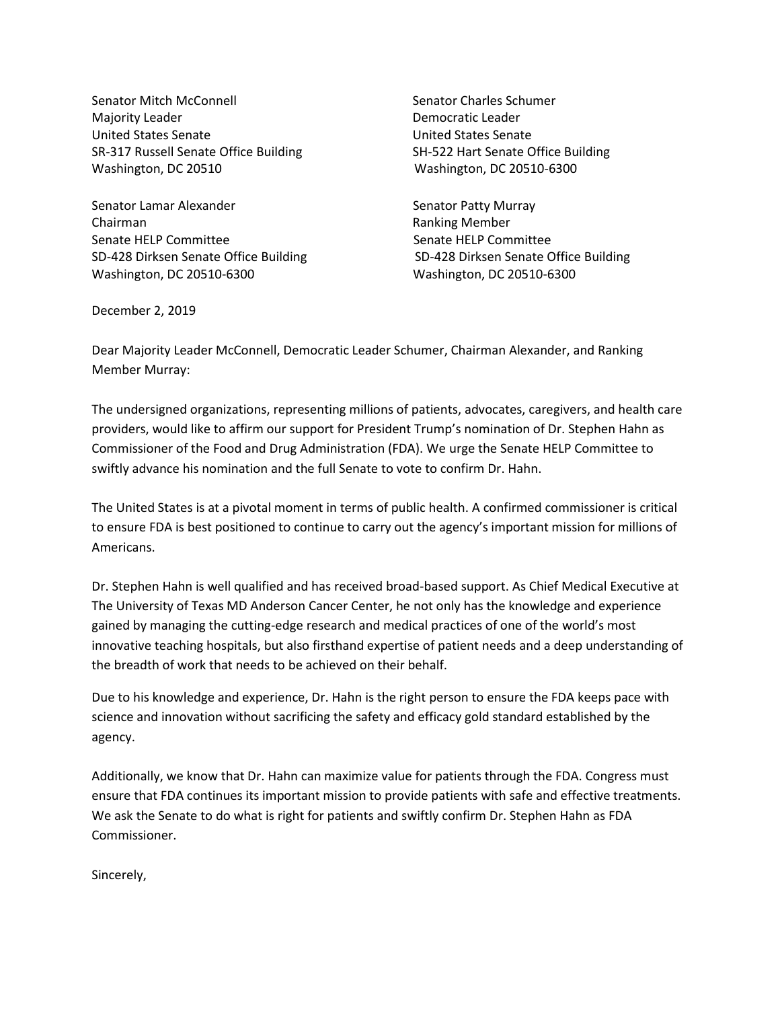Senator Mitch McConnell Senator Charles Schumer Majority Leader **Democratic Leader Democratic Leader** United States Senate United States Senate SR-317 Russell Senate Office Building SH-522 Hart Senate Office Building Washington, DC 20510 Washington, DC 20510-6300

Senator Lamar Alexander Senator Patty Murray Chairman **Ranking Member** Ranking Member Senate HELP Committee Senate HELP Committee SD-428 Dirksen Senate Office Building SD-428 Dirksen Senate Office Building Washington, DC 20510-6300 Washington, DC 20510-6300

December 2, 2019

Dear Majority Leader McConnell, Democratic Leader Schumer, Chairman Alexander, and Ranking Member Murray:

The undersigned organizations, representing millions of patients, advocates, caregivers, and health care providers, would like to affirm our support for President Trump's nomination of Dr. Stephen Hahn as Commissioner of the Food and Drug Administration (FDA). We urge the Senate HELP Committee to swiftly advance his nomination and the full Senate to vote to confirm Dr. Hahn.

The United States is at a pivotal moment in terms of public health. A confirmed commissioner is critical to ensure FDA is best positioned to continue to carry out the agency's important mission for millions of Americans.

Dr. Stephen Hahn is well qualified and has received broad-based support. As Chief Medical Executive at The University of Texas MD Anderson Cancer Center, he not only has the knowledge and experience gained by managing the cutting-edge research and medical practices of one of the world's most innovative teaching hospitals, but also firsthand expertise of patient needs and a deep understanding of the breadth of work that needs to be achieved on their behalf.

Due to his knowledge and experience, Dr. Hahn is the right person to ensure the FDA keeps pace with science and innovation without sacrificing the safety and efficacy gold standard established by the agency.

Additionally, we know that Dr. Hahn can maximize value for patients through the FDA. Congress must ensure that FDA continues its important mission to provide patients with safe and effective treatments. We ask the Senate to do what is right for patients and swiftly confirm Dr. Stephen Hahn as FDA Commissioner.

Sincerely,